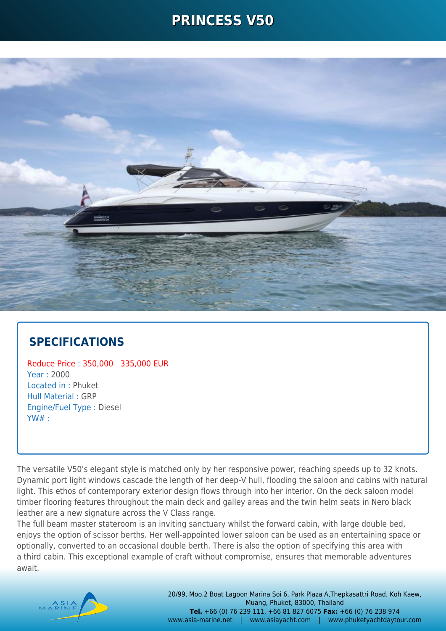### **PRINCESS V50**



#### **SPECIFICATIONS**

Reduce Price : 350,000 335,000 EUR Year : 2000 Located in : Phuket Hull Material : GRP Engine/Fuel Type : Diesel YW# :

The versatile V50's elegant style is matched only by her responsive power, reaching speeds up to 32 knots. Dynamic port light windows cascade the length of her deep-V hull, flooding the saloon and cabins with natural light. This ethos of contemporary exterior design flows through into her interior. On the deck saloon model timber flooring features throughout the main deck and galley areas and the twin helm seats in Nero black leather are a new signature across the V Class range.

The full beam master stateroom is an inviting sanctuary whilst the forward cabin, with large double bed, enjoys the option of scissor berths. Her well-appointed lower saloon can be used as an entertaining space or optionally, converted to an occasional double berth. There is also the option of specifying this area with a third cabin. This exceptional example of craft without compromise, ensures that memorable adventures await.

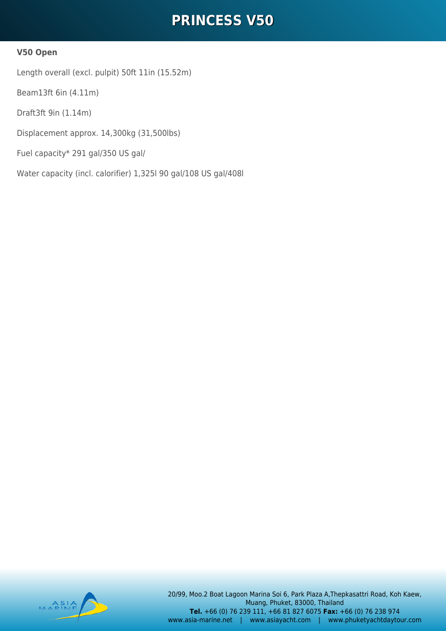## **PRINCESS V50**

#### **V50 Open**

Length overall (excl. pulpit) 50ft 11in (15.52m)

Beam13ft 6in (4.11m)

Draft3ft 9in (1.14m)

Displacement approx. 14,300kg (31,500lbs)

Fuel capacity\* 291 gal/350 US gal/

Water capacity (incl. calorifier) 1,325l 90 gal/108 US gal/408l